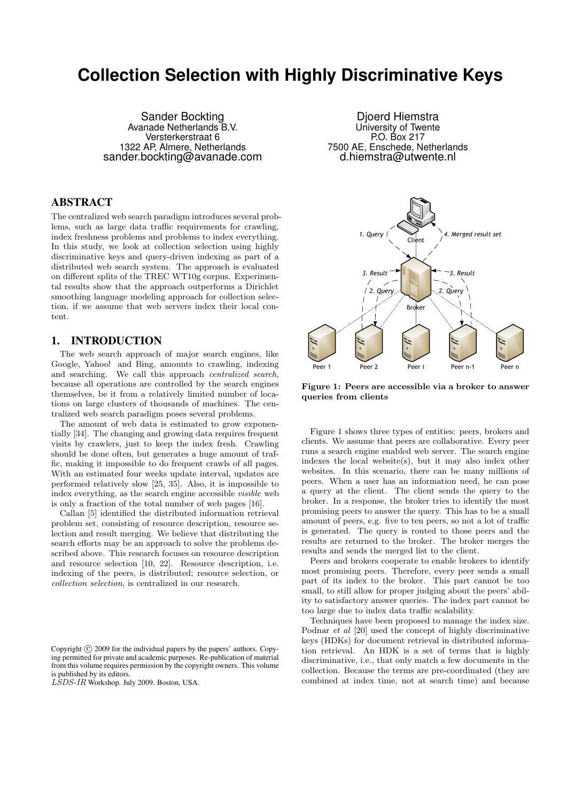# **Collection Selection with Highly Discriminative Keys**

Sander Bockting Avanade Netherlands B.V. Versterkerstraat 6 1322 AP, Almere, Netherlands sander.bockting@avanade.com

# ABSTRACT

The centralized web search paradigm introduces several problems, such as large data traffic requirements for crawling, index freshness problems and problems to index everything. In this study, we look at collection selection using highly discriminative keys and query-driven indexing as part of a distributed web search system. The approach is evaluated on different splits of the TREC WT10g corpus. Experimental results show that the approach outperforms a Dirichlet smoothing language modeling approach for collection selection, if we assume that web servers index their local content.

## 1. INTRODUCTION

The web search approach of major search engines, like Google, Yahoo! and Bing, amounts to crawling, indexing and searching. We call this approach centralized search, because all operations are controlled by the search engines themselves, be it from a relatively limited number of locations on large clusters of thousands of machines. The centralized web search paradigm poses several problems.

The amount of web data is estimated to grow exponentially [34]. The changing and growing data requires frequent visits by crawlers, just to keep the index fresh. Crawling should be done often, but generates a huge amount of traffic, making it impossible to do frequent crawls of all pages. With an estimated four weeks update interval, updates are performed relatively slow [25, 35]. Also, it is impossible to index everything, as the search engine accessible visible web is only a fraction of the total number of web pages [16].

Callan [5] identified the distributed information retrieval problem set, consisting of resource description, resource selection and result merging. We believe that distributing the search efforts may be an approach to solve the problems described above. This research focuses on resource description and resource selection [10, 22]. Resource description, i.e. indexing of the peers, is distributed; resource selection, or collection selection, is centralized in our research.

Copyright (C) 2009 for the individual papers by the papers' authors. Copying permitted for private and academic purposes. Re-publication of material from this volume requires permission by the copyright owners. This volume is published by its editors.

LSDS-IR Workshop. July 2009. Boston, USA.

Djoerd Hiemstra University of Twente P.O. Box 217 7500 AE, Enschede, Netherlands d.hiemstra@utwente.nl



Figure 1: Peers are accessible via a broker to answer queries from clients

Figure 1 shows three types of entities: peers, brokers and clients. We assume that peers are collaborative. Every peer runs a search engine enabled web server. The search engine indexes the local website(s), but it may also index other websites. In this scenario, there can be many millions of peers. When a user has an information need, he can pose a query at the client. The client sends the query to the broker. In a response, the broker tries to identify the most promising peers to answer the query. This has to be a small amount of peers, e.g. five to ten peers, so not a lot of traffic is generated. The query is routed to those peers and the results are returned to the broker. The broker merges the results and sends the merged list to the client.

Peers and brokers cooperate to enable brokers to identify most promising peers. Therefore, every peer sends a small part of its index to the broker. This part cannot be too small, to still allow for proper judging about the peers' ability to satisfactory answer queries. The index part cannot be too large due to index data traffic scalability.

Techniques have been proposed to manage the index size. Podnar et al [20] used the concept of highly discriminative keys (HDKs) for document retrieval in distributed information retrieval. An HDK is a set of terms that is highly discriminative, i.e., that only match a few documents in the collection. Because the terms are pre-coordinated (they are combined at index time, not at search time) and because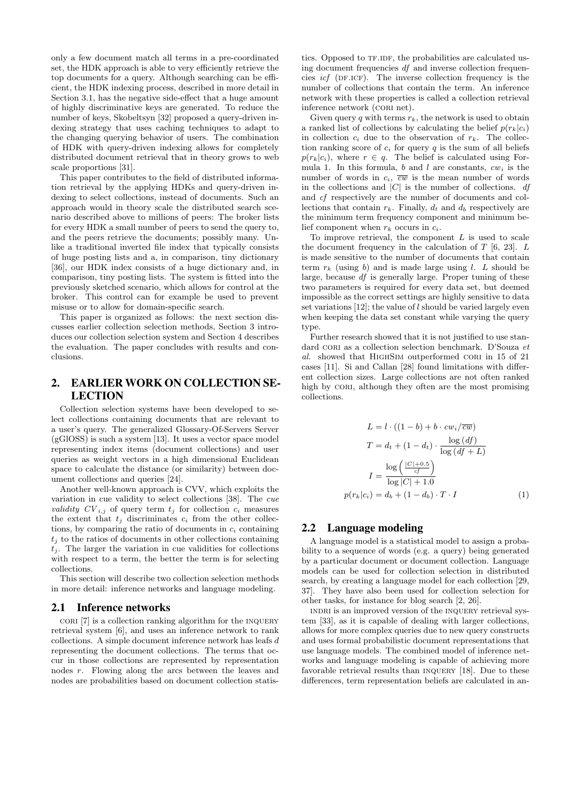only a few document match all terms in a pre-coordinated set, the HDK approach is able to very efficiently retrieve the top documents for a query. Although searching can be efficient, the HDK indexing process, described in more detail in Section 3.1, has the negative side-effect that a huge amount of highly discriminative keys are generated. To reduce the number of keys, Skobeltsyn [32] proposed a query-driven indexing strategy that uses caching techniques to adapt to the changing querying behavior of users. The combination of HDK with query-driven indexing allows for completely distributed document retrieval that in theory grows to web scale proportions [31].

This paper contributes to the field of distributed information retrieval by the applying HDKs and query-driven indexing to select collections, instead of documents. Such an approach would in theory scale the distributed search scenario described above to millions of peers: The broker lists for every HDK a small number of peers to send the query to, and the peers retrieve the documents; possibly many. Unlike a traditional inverted file index that typically consists of huge posting lists and a, in comparison, tiny dictionary [36], our HDK index consists of a huge dictionary and, in comparison, tiny posting lists. The system is fitted into the previously sketched scenario, which allows for control at the broker. This control can for example be used to prevent misuse or to allow for domain-specific search.

This paper is organized as follows: the next section discusses earlier collection selection methods, Section 3 introduces our collection selection system and Section 4 describes the evaluation. The paper concludes with results and conclusions.

# 2. EARLIER WORK ON COLLECTION SE-LECTION

Collection selection systems have been developed to select collections containing documents that are relevant to a user's query. The generalized Glossary-Of-Servers Server (gGlOSS) is such a system [13]. It uses a vector space model representing index items (document collections) and user queries as weight vectors in a high dimensional Euclidean space to calculate the distance (or similarity) between document collections and queries [24].

Another well-known approach is CVV, which exploits the variation in cue validity to select collections [38]. The cue *validity*  $CV_{i,j}$  of query term  $t_j$  for collection  $c_i$  measures the extent that  $t_j$  discriminates  $c_i$  from the other collections, by comparing the ratio of documents in  $c_i$  containing  $t_i$  to the ratios of documents in other collections containing  $t_i$ . The larger the variation in cue validities for collections with respect to a term, the better the term is for selecting collections.

This section will describe two collection selection methods in more detail: inference networks and language modeling.

#### 2.1 Inference networks

 $CORI$  [7] is a collection ranking algorithm for the INQUERY retrieval system [6], and uses an inference network to rank collections. A simple document inference network has leafs d representing the document collections. The terms that occur in those collections are represented by representation nodes r. Flowing along the arcs between the leaves and nodes are probabilities based on document collection statis-

tics. Opposed to TF.IDF, the probabilities are calculated using document frequencies df and inverse collection frequencies *icf* (DF.ICF). The inverse collection frequency is the number of collections that contain the term. An inference network with these properties is called a collection retrieval inference network (CORI net).

Given query q with terms  $r_k$ , the network is used to obtain a ranked list of collections by calculating the belief  $p(r_k|c_i)$ in collection  $c_i$  due to the observation of  $r_k$ . The collection ranking score of  $c_i$  for query q is the sum of all beliefs  $p(r_k|c_i)$ , where  $r \in q$ . The belief is calculated using Formula 1. In this formula, b and l are constants,  $cw<sub>i</sub>$  is the number of words in  $c_i$ ,  $\overline{cw}$  is the mean number of words in the collections and  $|C|$  is the number of collections. df and cf respectively are the number of documents and collections that contain  $r_k$ . Finally,  $d_t$  and  $d_b$  respectively are the minimum term frequency component and minimum belief component when  $r_k$  occurs in  $c_i$ .

To improve retrieval, the component  $L$  is used to scale the document frequency in the calculation of  $T$  [6, 23].  $L$ is made sensitive to the number of documents that contain term  $r_k$  (using b) and is made large using l. L should be large, because df is generally large. Proper tuning of these two parameters is required for every data set, but deemed impossible as the correct settings are highly sensitive to data set variations  $[12]$ ; the value of l should be varied largely even when keeping the data set constant while varying the query type.

Further research showed that it is not justified to use standard CORI as a collection selection benchmark. D'Souza et al. showed that HIGHSIM outperformed CORI in 15 of 21 cases [11]. Si and Callan [28] found limitations with different collection sizes. Large collections are not often ranked high by CORI, although they often are the most promising collections.

$$
L = l \cdot ((1 - b) + b \cdot cw_i / \overline{cw})
$$
  
\n
$$
T = d_t + (1 - d_t) \cdot \frac{\log (df)}{\log (df + L)}
$$
  
\n
$$
I = \frac{\log \left(\frac{|C| + 0.5}{cf}\right)}{\log |C| + 1.0}
$$
  
\n
$$
p(r_k|c_i) = d_b + (1 - d_b) \cdot T \cdot I
$$
 (1)

## 2.2 Language modeling

A language model is a statistical model to assign a probability to a sequence of words (e.g. a query) being generated by a particular document or document collection. Language models can be used for collection selection in distributed search, by creating a language model for each collection [29, 37]. They have also been used for collection selection for other tasks, for instance for blog search [2, 26].

indri is an improved version of the inquery retrieval system [33], as it is capable of dealing with larger collections, allows for more complex queries due to new query constructs and uses formal probabilistic document representations that use language models. The combined model of inference networks and language modeling is capable of achieving more favorable retrieval results than inquery [18]. Due to these differences, term representation beliefs are calculated in an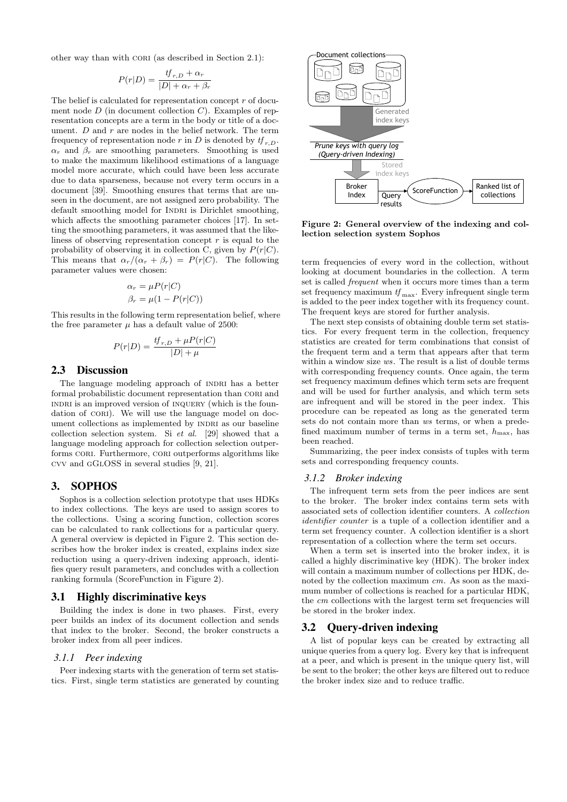other way than with CORI (as described in Section 2.1):

$$
P(r|D) = \frac{tf_{r,D} + \alpha_r}{|D| + \alpha_r + \beta_r}
$$

The belief is calculated for representation concept  $r$  of document node  $D$  (in document collection  $C$ ). Examples of representation concepts are a term in the body or title of a document.  $D$  and  $r$  are nodes in the belief network. The term frequency of representation node r in D is denoted by  $tf_{r,D}$ .  $\alpha_r$  and  $\beta_r$  are smoothing parameters. Smoothing is used to make the maximum likelihood estimations of a language model more accurate, which could have been less accurate due to data sparseness, because not every term occurs in a document [39]. Smoothing ensures that terms that are unseen in the document, are not assigned zero probability. The default smoothing model for INDRI is Dirichlet smoothing, which affects the smoothing parameter choices [17]. In setting the smoothing parameters, it was assumed that the likeliness of observing representation concept  $r$  is equal to the probability of observing it in collection C, given by  $P(r|C)$ . This means that  $\alpha_r/(\alpha_r + \beta_r) = P(r|C)$ . The following parameter values were chosen:

$$
\alpha_r = \mu P(r|C)
$$
  

$$
\beta_r = \mu(1 - P(r|C))
$$

This results in the following term representation belief, where the free parameter  $\mu$  has a default value of 2500:

$$
P(r|D) = \frac{tf_{r,D} + \mu P(r|C)}{|D| + \mu}
$$

#### 2.3 Discussion

The language modeling approach of INDRI has a better formal probabilistic document representation than CORI and INDRI is an improved version of INQUERY (which is the foundation of CORI). We will use the language model on document collections as implemented by INDRI as our baseline collection selection system. Si et al. [29] showed that a language modeling approach for collection selection outperforms CORI. Furthermore, CORI outperforms algorithms like cvv and gGlOSS in several studies [9, 21].

#### 3. SOPHOS

Sophos is a collection selection prototype that uses HDKs to index collections. The keys are used to assign scores to the collections. Using a scoring function, collection scores can be calculated to rank collections for a particular query. A general overview is depicted in Figure 2. This section describes how the broker index is created, explains index size reduction using a query-driven indexing approach, identifies query result parameters, and concludes with a collection ranking formula (ScoreFunction in Figure 2).

#### 3.1 Highly discriminative keys

Building the index is done in two phases. First, every peer builds an index of its document collection and sends that index to the broker. Second, the broker constructs a broker index from all peer indices.

#### *3.1.1 Peer indexing*

Peer indexing starts with the generation of term set statistics. First, single term statistics are generated by counting



Figure 2: General overview of the indexing and collection selection system Sophos

term frequencies of every word in the collection, without looking at document boundaries in the collection. A term set is called *frequent* when it occurs more times than a term set frequency maximum  $tf_{\text{max}}$ . Every infrequent single term is added to the peer index together with its frequency count. The frequent keys are stored for further analysis.

The next step consists of obtaining double term set statistics. For every frequent term in the collection, frequency statistics are created for term combinations that consist of the frequent term and a term that appears after that term within a window size ws. The result is a list of double terms with corresponding frequency counts. Once again, the term set frequency maximum defines which term sets are frequent and will be used for further analysis, and which term sets are infrequent and will be stored in the peer index. This procedure can be repeated as long as the generated term sets do not contain more than ws terms, or when a predefined maximum number of terms in a term set,  $h_{\text{max}}$ , has been reached.

Summarizing, the peer index consists of tuples with term sets and corresponding frequency counts.

#### *3.1.2 Broker indexing*

The infrequent term sets from the peer indices are sent to the broker. The broker index contains term sets with associated sets of collection identifier counters. A collection identifier counter is a tuple of a collection identifier and a term set frequency counter. A collection identifier is a short representation of a collection where the term set occurs.

When a term set is inserted into the broker index, it is called a highly discriminative key (HDK). The broker index will contain a maximum number of collections per HDK, denoted by the collection maximum cm. As soon as the maximum number of collections is reached for a particular HDK, the cm collections with the largest term set frequencies will be stored in the broker index.

#### 3.2 Query-driven indexing

A list of popular keys can be created by extracting all unique queries from a query log. Every key that is infrequent at a peer, and which is present in the unique query list, will be sent to the broker; the other keys are filtered out to reduce the broker index size and to reduce traffic.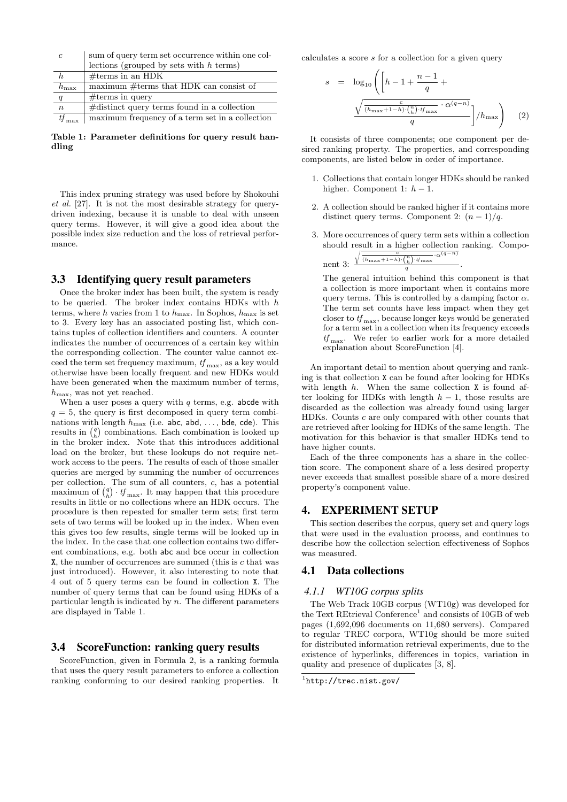| $\mathfrak{c}$   | sum of query term set occurrence within one col- |  |  |  |  |  |  |  |
|------------------|--------------------------------------------------|--|--|--|--|--|--|--|
|                  | lections (grouped by sets with $h$ terms)        |  |  |  |  |  |  |  |
|                  | $#terms$ in an HDK                               |  |  |  |  |  |  |  |
| $h_{\text{max}}$ | maximum $\#$ terms that HDK can consist of       |  |  |  |  |  |  |  |
| q                | $#terms$ in query                                |  |  |  |  |  |  |  |
| $\boldsymbol{n}$ | $\#$ distinct query terms found in a collection  |  |  |  |  |  |  |  |
|                  | maximum frequency of a term set in a collection  |  |  |  |  |  |  |  |

Table 1: Parameter definitions for query result handling

This index pruning strategy was used before by Shokouhi et al. [27]. It is not the most desirable strategy for querydriven indexing, because it is unable to deal with unseen query terms. However, it will give a good idea about the possible index size reduction and the loss of retrieval performance.

#### 3.3 Identifying query result parameters

Once the broker index has been built, the system is ready to be queried. The broker index contains HDKs with h terms, where h varies from 1 to  $h_{\text{max}}$ . In Sophos,  $h_{\text{max}}$  is set to 3. Every key has an associated posting list, which contains tuples of collection identifiers and counters. A counter indicates the number of occurrences of a certain key within the corresponding collection. The counter value cannot exceed the term set frequency maximum,  $tf_{\text{max}}$ , as a key would otherwise have been locally frequent and new HDKs would have been generated when the maximum number of terms,  $h_{\text{max}}$ , was not yet reached.

When a user poses a query with  $q$  terms, e.g. abcde with  $q = 5$ , the query is first decomposed in query term combinations with length  $h_{\text{max}}$  (i.e. abc, abd, ..., bde, cde). This results in  $\binom{q}{h}$  combinations. Each combination is looked up in the broker index. Note that this introduces additional load on the broker, but these lookups do not require network access to the peers. The results of each of those smaller queries are merged by summing the number of occurrences per collection. The sum of all counters, c, has a potential maximum of  $\binom{q}{h} \cdot tf_{\text{max}}$ . It may happen that this procedure results in little or no collections where an HDK occurs. The procedure is then repeated for smaller term sets; first term sets of two terms will be looked up in the index. When even this gives too few results, single terms will be looked up in the index. In the case that one collection contains two different combinations, e.g. both abc and bce occur in collection X, the number of occurrences are summed (this is c that was just introduced). However, it also interesting to note that 4 out of 5 query terms can be found in collection X. The number of query terms that can be found using HDKs of a particular length is indicated by n. The different parameters are displayed in Table 1.

## 3.4 ScoreFunction: ranking query results

ScoreFunction, given in Formula 2, is a ranking formula that uses the query result parameters to enforce a collection ranking conforming to our desired ranking properties. It calculates a score s for a collection for a given query

$$
s = \log_{10}\left(\left[h - 1 + \frac{n-1}{q} + \frac{\sqrt{\frac{c}{(h_{\text{max}} + 1 - h)\cdot\binom{n}{h}\cdot t_{\text{max}}}\cdot\alpha^{(q-n)}}}{q}\right] / h_{\text{max}}\right) \quad (2)
$$

It consists of three components; one component per desired ranking property. The properties, and corresponding components, are listed below in order of importance.

- 1. Collections that contain longer HDKs should be ranked higher. Component 1:  $h-1$ .
- 2. A collection should be ranked higher if it contains more distinct query terms. Component 2:  $(n-1)/q$ .
- 3. More occurrences of query term sets within a collection should result in a higher collection ranking. Compo- $\sqrt{c}$  $-\alpha^{(q-n)}$

.

nt 3: 
$$
\frac{\sqrt{(h_{\max}+1-h)}\cdot {n \choose h}\cdot tf_{\max}}{q}
$$

ne

The general intuition behind this component is that a collection is more important when it contains more query terms. This is controlled by a damping factor  $\alpha$ . The term set counts have less impact when they get closer to  $tf_{\text{max}}$ , because longer keys would be generated for a term set in a collection when its frequency exceeds  $tf_{\text{max}}$ . We refer to earlier work for a more detailed explanation about ScoreFunction [4].

An important detail to mention about querying and ranking is that collection X can be found after looking for HDKs with length  $h$ . When the same collection  $X$  is found after looking for HDKs with length  $h-1$ , those results are discarded as the collection was already found using larger HDKs. Counts c are only compared with other counts that are retrieved after looking for HDKs of the same length. The motivation for this behavior is that smaller HDKs tend to have higher counts.

Each of the three components has a share in the collection score. The component share of a less desired property never exceeds that smallest possible share of a more desired property's component value.

#### 4. EXPERIMENT SETUP

This section describes the corpus, query set and query logs that were used in the evaluation process, and continues to describe how the collection selection effectiveness of Sophos was measured.

## 4.1 Data collections

#### *4.1.1 WT10G corpus splits*

The Web Track 10GB corpus (WT10g) was developed for the Text REtrieval Conference<sup>1</sup> and consists of 10GB of web pages (1,692,096 documents on 11,680 servers). Compared to regular TREC corpora, WT10g should be more suited for distributed information retrieval experiments, due to the existence of hyperlinks, differences in topics, variation in quality and presence of duplicates [3, 8].

<sup>1</sup> http://trec.nist.gov/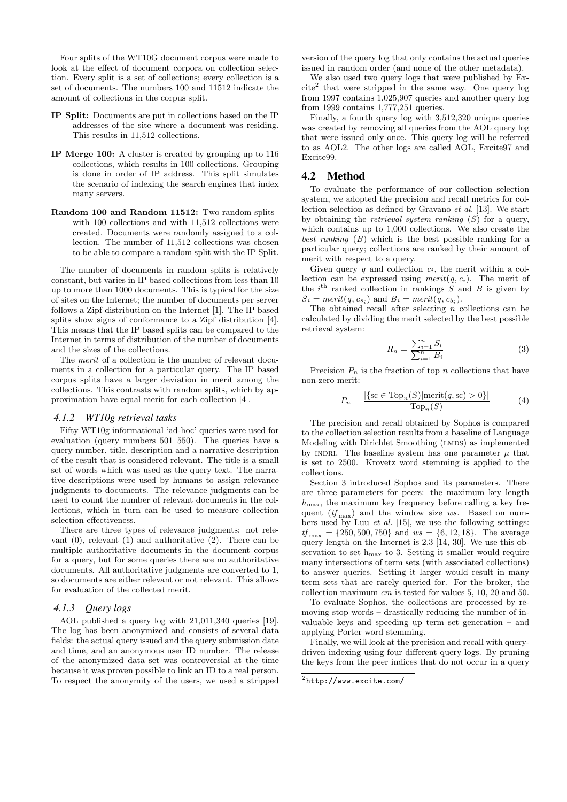Four splits of the WT10G document corpus were made to look at the effect of document corpora on collection selection. Every split is a set of collections; every collection is a set of documents. The numbers 100 and 11512 indicate the amount of collections in the corpus split.

- IP Split: Documents are put in collections based on the IP addresses of the site where a document was residing. This results in 11,512 collections.
- IP Merge 100: A cluster is created by grouping up to 116 collections, which results in 100 collections. Grouping is done in order of IP address. This split simulates the scenario of indexing the search engines that index many servers.
- Random 100 and Random 11512: Two random splits with 100 collections and with 11,512 collections were created. Documents were randomly assigned to a collection. The number of 11,512 collections was chosen to be able to compare a random split with the IP Split.

The number of documents in random splits is relatively constant, but varies in IP based collections from less than 10 up to more than 1000 documents. This is typical for the size of sites on the Internet; the number of documents per server follows a Zipf distribution on the Internet [1]. The IP based splits show signs of conformance to a Zipf distribution [4]. This means that the IP based splits can be compared to the Internet in terms of distribution of the number of documents and the sizes of the collections.

The merit of a collection is the number of relevant documents in a collection for a particular query. The IP based corpus splits have a larger deviation in merit among the collections. This contrasts with random splits, which by approximation have equal merit for each collection [4].

#### *4.1.2 WT10g retrieval tasks*

Fifty WT10g informational 'ad-hoc' queries were used for evaluation (query numbers 501–550). The queries have a query number, title, description and a narrative description of the result that is considered relevant. The title is a small set of words which was used as the query text. The narrative descriptions were used by humans to assign relevance judgments to documents. The relevance judgments can be used to count the number of relevant documents in the collections, which in turn can be used to measure collection selection effectiveness.

There are three types of relevance judgments: not relevant  $(0)$ , relevant  $(1)$  and authoritative  $(2)$ . There can be multiple authoritative documents in the document corpus for a query, but for some queries there are no authoritative documents. All authoritative judgments are converted to 1, so documents are either relevant or not relevant. This allows for evaluation of the collected merit.

#### *4.1.3 Query logs*

AOL published a query log with 21,011,340 queries [19]. The log has been anonymized and consists of several data fields: the actual query issued and the query submission date and time, and an anonymous user ID number. The release of the anonymized data set was controversial at the time because it was proven possible to link an ID to a real person. To respect the anonymity of the users, we used a stripped

version of the query log that only contains the actual queries issued in random order (and none of the other metadata).

We also used two query logs that were published by Ex- $\text{cite}^2$  that were stripped in the same way. One query log from 1997 contains 1,025,907 queries and another query log from 1999 contains 1,777,251 queries.

Finally, a fourth query log with 3,512,320 unique queries was created by removing all queries from the AOL query log that were issued only once. This query log will be referred to as AOL2. The other logs are called AOL, Excite97 and Excite99.

#### 4.2 Method

To evaluate the performance of our collection selection system, we adopted the precision and recall metrics for collection selection as defined by Gravano et al. [13]. We start by obtaining the *retrieval system ranking*  $(S)$  for a query, which contains up to 1,000 collections. We also create the best ranking  $(B)$  which is the best possible ranking for a particular query; collections are ranked by their amount of merit with respect to a query.

Given query q and collection  $c_i$ , the merit within a collection can be expressed using  $merit(q, c_i)$ . The merit of the  $i^{\text{th}}$  ranked collection in rankings S and B is given by  $S_i = merit(q, c_{s_i})$  and  $B_i = merit(q, c_{b_i})$ .

The obtained recall after selecting  $n$  collections can be calculated by dividing the merit selected by the best possible retrieval system:

$$
R_n = \frac{\sum_{i=1}^{n} S_i}{\sum_{i=1}^{n} B_i}
$$
 (3)

Precision  $P_n$  is the fraction of top n collections that have non-zero merit:

$$
P_n = \frac{|\{\operatorname{sc} \in \operatorname{Top}_n(S)|\operatorname{merit}(q, \operatorname{sc}) > 0\}|}{|\operatorname{Top}_n(S)|} \tag{4}
$$

The precision and recall obtained by Sophos is compared to the collection selection results from a baseline of Language Modeling with Dirichlet Smoothing (LMDS) as implemented by INDRI. The baseline system has one parameter  $\mu$  that is set to 2500. Krovetz word stemming is applied to the collections.

Section 3 introduced Sophos and its parameters. There are three parameters for peers: the maximum key length  $h_{\text{max}}$ , the maximum key frequency before calling a key frequent  $(tf_{\text{max}})$  and the window size ws. Based on numbers used by Luu et al. [15], we use the following settings:  $tf_{\text{max}} = \{250, 500, 750\}$  and  $ws = \{6, 12, 18\}$ . The average query length on the Internet is 2.3 [14, 30]. We use this observation to set  $h_{\text{max}}$  to 3. Setting it smaller would require many intersections of term sets (with associated collections) to answer queries. Setting it larger would result in many term sets that are rarely queried for. For the broker, the collection maximum cm is tested for values 5, 10, 20 and 50.

To evaluate Sophos, the collections are processed by removing stop words – drastically reducing the number of invaluable keys and speeding up term set generation – and applying Porter word stemming.

Finally, we will look at the precision and recall with querydriven indexing using four different query logs. By pruning the keys from the peer indices that do not occur in a query

 $^{2}$ http://www.excite.com/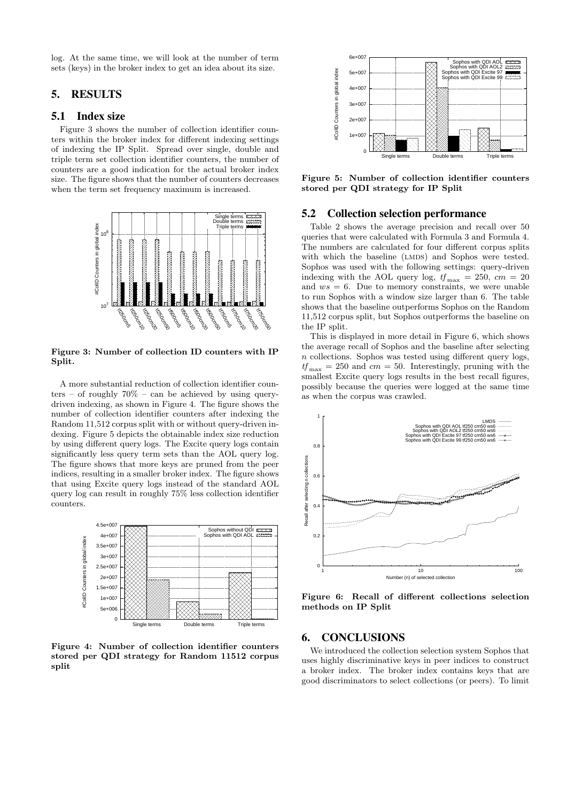log. At the same time, we will look at the number of term sets (keys) in the broker index to get an idea about its size.

# 5. RESULTS

#### 5.1 Index size

Figure 3 shows the number of collection identifier counters within the broker index for different indexing settings of indexing the IP Split. Spread over single, double and triple term set collection identifier counters, the number of counters are a good indication for the actual broker index size. The figure shows that the number of counters decreases when the term set frequency maximum is increased.



Figure 3: Number of collection ID counters with IP Split.

A more substantial reduction of collection identifier counters – of roughly  $70\%$  – can be achieved by using querydriven indexing, as shown in Figure 4. The figure shows the number of collection identifier counters after indexing the Random 11,512 corpus split with or without query-driven indexing. Figure 5 depicts the obtainable index size reduction by using different query logs. The Excite query logs contain significantly less query term sets than the AOL query log. The figure shows that more keys are pruned from the peer indices, resulting in a smaller broker index. The figure shows that using Excite query logs instead of the standard AOL query log can result in roughly 75% less collection identifier counters.



Figure 4: Number of collection identifier counters stored per QDI strategy for Random 11512 corpus split



Figure 5: Number of collection identifier counters stored per QDI strategy for IP Split

#### 5.2 Collection selection performance

Table 2 shows the average precision and recall over 50 queries that were calculated with Formula 3 and Formula 4. The numbers are calculated for four different corpus splits with which the baseline (LMDS) and Sophos were tested. Sophos was used with the following settings: query-driven indexing with the AOL query log,  $tf_{\text{max}} = 250$ ,  $cm = 20$ and  $ws = 6$ . Due to memory constraints, we were unable to run Sophos with a window size larger than 6. The table shows that the baseline outperforms Sophos on the Random 11,512 corpus split, but Sophos outperforms the baseline on the IP split.

This is displayed in more detail in Figure 6, which shows the average recall of Sophos and the baseline after selecting n collections. Sophos was tested using different query logs,  $tf_{\text{max}} = 250$  and  $cm = 50$ . Interestingly, pruning with the smallest Excite query logs results in the best recall figures, possibly because the queries were logged at the same time as when the corpus was crawled.



Figure 6: Recall of different collections selection methods on IP Split

#### 6. CONCLUSIONS

We introduced the collection selection system Sophos that uses highly discriminative keys in peer indices to construct a broker index. The broker index contains keys that are good discriminators to select collections (or peers). To limit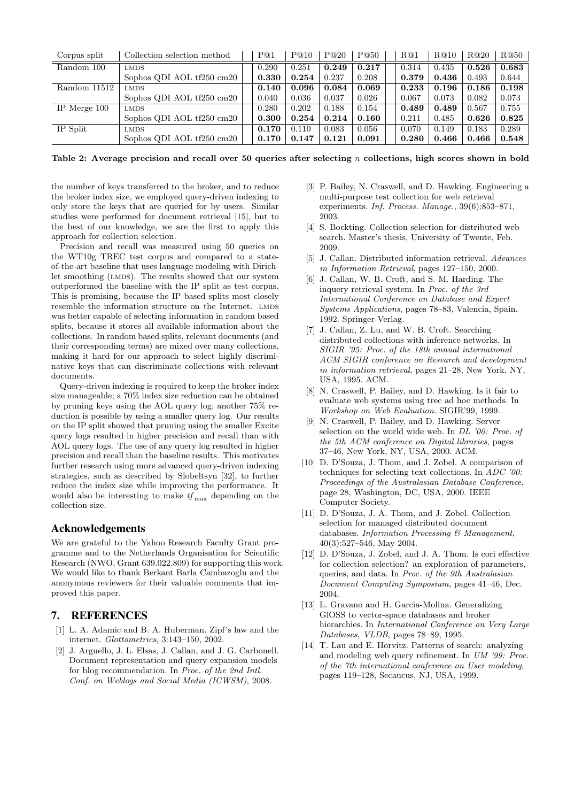| Corpus split   | Collection selection method | P@1   | P@10  | P@20  | P@50  | R@1   | R@10  | R@20  | R@50  |
|----------------|-----------------------------|-------|-------|-------|-------|-------|-------|-------|-------|
| Random 100     | <b>LMDS</b>                 | 0.290 | 0.251 | 0.249 | 0.217 | 0.314 | 0.435 | 0.526 | 0.683 |
|                | Sophos QDI AOL tf250 cm20   | 0.330 | 0.254 | 0.237 | 0.208 | 0.379 | 0.436 | 0.493 | 0.644 |
| Random 11512   | <b>LMDS</b>                 | 0.140 | 0.096 | 0.084 | 0.069 | 0.233 | 0.196 | 0.186 | 0.198 |
|                | Sophos QDI AOL tf250 cm20   | 0.040 | 0.036 | 0.037 | 0.026 | 0.067 | 0.073 | 0.082 | 0.073 |
| IP Merge $100$ | <b>LMDS</b>                 | 0.280 | 0.202 | 0.188 | 0.154 | 0.489 | 0.489 | 0.567 | 0.755 |
|                | Sophos QDI AOL tf250 cm20   | 0.300 | 0.254 | 0.214 | 0.160 | 0.211 | 0.485 | 0.626 | 0.825 |
| IP Split       | <b>LMDS</b>                 | 0.170 | 0.110 | 0.083 | 0.056 | 0.070 | 0.149 | 0.183 | 0.289 |
|                | Sophos QDI AOL tf250 cm20   | 0.170 | 0.147 | 0.121 | 0.091 | 0.280 | 0.466 | 0.466 | 0.548 |

Table 2: Average precision and recall over 50 queries after selecting n collections, high scores shown in bold

the number of keys transferred to the broker, and to reduce the broker index size, we employed query-driven indexing to only store the keys that are queried for by users. Similar studies were performed for document retrieval [15], but to the best of our knowledge, we are the first to apply this approach for collection selection.

Precision and recall was measured using 50 queries on the WT10g TREC test corpus and compared to a stateof-the-art baseline that uses language modeling with Dirichlet smoothing (LMDS). The results showed that our system outperformed the baseline with the IP split as test corpus. This is promising, because the IP based splits most closely resemble the information structure on the Internet. LMDS was better capable of selecting information in random based splits, because it stores all available information about the collections. In random based splits, relevant documents (and their corresponding terms) are mixed over many collections, making it hard for our approach to select highly discriminative keys that can discriminate collections with relevant documents.

Query-driven indexing is required to keep the broker index size manageable; a 70% index size reduction can be obtained by pruning keys using the AOL query log, another 75% reduction is possible by using a smaller query log. Our results on the IP split showed that pruning using the smaller Excite query logs resulted in higher precision and recall than with AOL query logs. The use of any query log resulted in higher precision and recall than the baseline results. This motivates further research using more advanced query-driven indexing strategies, such as described by Slobeltsyn [32], to further reduce the index size while improving the performance. It would also be interesting to make  $tf_{\text{max}}$  depending on the collection size.

#### Acknowledgements

We are grateful to the Yahoo Research Faculty Grant programme and to the Netherlands Organisation for Scientific Research (NWO, Grant 639.022.809) for supporting this work. We would like to thank Berkant Barla Cambazoglu and the anonymous reviewers for their valuable comments that improved this paper.

# 7. REFERENCES

- [1] L. A. Adamic and B. A. Huberman. Zipf's law and the internet. Glottometrics, 3:143–150, 2002.
- [2] J. Arguello, J. L. Elsas, J. Callan, and J. G. Carbonell. Document representation and query expansion models for blog recommendation. In Proc. of the 2nd Intl. Conf. on Weblogs and Social Media (ICWSM), 2008.
- [3] P. Bailey, N. Craswell, and D. Hawking. Engineering a multi-purpose test collection for web retrieval experiments. Inf. Process. Manage., 39(6):853–871, 2003.
- [4] S. Bockting. Collection selection for distributed web search. Master's thesis, University of Twente, Feb. 2009.
- [5] J. Callan. Distributed information retrieval. Advances in Information Retrieval, pages 127–150, 2000.
- [6] J. Callan, W. B. Croft, and S. M. Harding. The inquery retrieval system. In Proc. of the 3rd International Conference on Database and Expert Systems Applications, pages 78–83, Valencia, Spain, 1992. Springer-Verlag.
- [7] J. Callan, Z. Lu, and W. B. Croft. Searching distributed collections with inference networks. In SIGIR '95: Proc. of the 18th annual international ACM SIGIR conference on Research and development in information retrieval, pages 21–28, New York, NY, USA, 1995. ACM.
- [8] N. Craswell, P. Bailey, and D. Hawking. Is it fair to evaluate web systems using trec ad hoc methods. In Workshop on Web Evaluation. SIGIR'99, 1999.
- [9] N. Craswell, P. Bailey, and D. Hawking. Server selection on the world wide web. In DL '00: Proc. of the 5th ACM conference on Digital libraries, pages 37–46, New York, NY, USA, 2000. ACM.
- [10] D. D'Souza, J. Thom, and J. Zobel. A comparison of techniques for selecting text collections. In ADC '00: Proceedings of the Australasian Database Conference, page 28, Washington, DC, USA, 2000. IEEE Computer Society.
- [11] D. D'Souza, J. A. Thom, and J. Zobel. Collection selection for managed distributed document databases. Information Processing & Management, 40(3):527–546, May 2004.
- [12] D. D'Souza, J. Zobel, and J. A. Thom. Is cori effective for collection selection? an exploration of parameters, queries, and data. In Proc. of the 9th Australasian Document Computing Symposium, pages 41–46, Dec. 2004.
- [13] L. Gravano and H. Garcia-Molina. Generalizing GlOSS to vector-space databases and broker hierarchies. In International Conference on Very Large Databases, VLDB, pages 78–89, 1995.
- [14] T. Lau and E. Horvitz. Patterns of search: analyzing and modeling web query refinement. In UM '99: Proc. of the 7th international conference on User modeling, pages 119–128, Secaucus, NJ, USA, 1999.